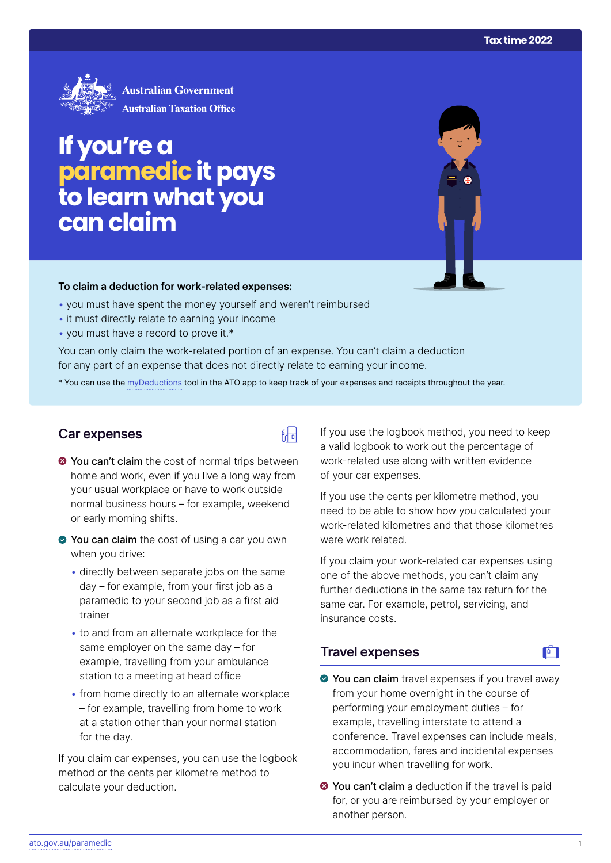

# **If you're a paramedic it pays to learn what you can claim**

#### **To claim a deduction for work‑related expenses:**

- you must have spent the money yourself and weren't reimbursed
- it must directly relate to earning your income
- you must have a record to prove it.\*

You can only claim the work-related portion of an expense. You can't claim a deduction for any part of an expense that does not directly relate to earning your income.

\* You can use the [myDeductions](https://ato.gov.au/mydeductions) tool in the ATO app to keep track of your expenses and receipts throughout the year.

品

## **Car expenses**

- $\bullet$  You can't claim the cost of normal trips between home and work, even if you live a long way from your usual workplace or have to work outside normal business hours – for example, weekend or early morning shifts.
- ◆ You can claim the cost of using a car you own when you drive:
	- directly between separate jobs on the same day – for example, from your first job as a paramedic to your second job as a first aid trainer
	- to and from an alternate workplace for the same employer on the same day – for example, travelling from your ambulance station to a meeting at head office
	- from home directly to an alternate workplace – for example, travelling from home to work at a station other than your normal station for the day.

If you claim car expenses, you can use the logbook method or the cents per kilometre method to calculate your deduction.

If you use the logbook method, you need to keep a valid logbook to work out the percentage of work-related use along with written evidence of your car expenses.

If you use the cents per kilometre method, you need to be able to show how you calculated your work-related kilometres and that those kilometres were work related.

If you claim your work-related car expenses using one of the above methods, you can't claim any further deductions in the same tax return for the same car. For example, petrol, servicing, and insurance costs.

# **Travel expenses**

- ◆ You can claim travel expenses if you travel away from your home overnight in the course of performing your employment duties – for example, travelling interstate to attend a conference. Travel expenses can include meals, accommodation, fares and incidental expenses you incur when travelling for work.
- **O** You can't claim a deduction if the travel is paid for, or you are reimbursed by your employer or another person.

 $\mathbf{F}$